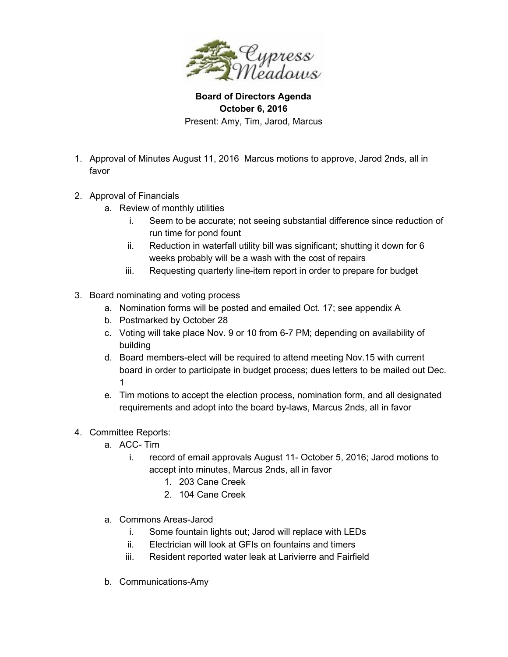

**Board of Directors Agenda October 6, 2016** Present: Amy, Tim, Jarod, Marcus

- 1. Approval of Minutes August 11, 2016 Marcus motions to approve, Jarod 2nds, all in favor
- 2. Approval of Financials
	- a. Review of monthly utilities
		- i. Seem to be accurate; not seeing substantial difference since reduction of run time for pond fount
		- ii. Reduction in waterfall utility bill was significant; shutting it down for 6 weeks probably will be a wash with the cost of repairs
		- iii. Requesting quarterly line-item report in order to prepare for budget
- 3. Board nominating and voting process
	- a. Nomination forms will be posted and emailed Oct. 17; see appendix A
	- b. Postmarked by October 28
	- c. Voting will take place Nov. 9 or 10 from 6-7 PM; depending on availability of building
	- d. Board members-elect will be required to attend meeting Nov.15 with current board in order to participate in budget process; dues letters to be mailed out Dec. 1
	- e. Tim motions to accept the election process, nomination form, and all designated requirements and adopt into the board by-laws, Marcus 2nds, all in favor

## 4. Committee Reports:

- a. ACC- Tim
	- i. record of email approvals August 11- October 5, 2016; Jarod motions to accept into minutes, Marcus 2nds, all in favor
		- 1. 203 Cane Creek
		- 2. 104 Cane Creek
- a. Commons Areas-Jarod
	- i. Some fountain lights out; Jarod will replace with LEDs
	- ii. Electrician will look at GFIs on fountains and timers
	- iii. Resident reported water leak at Larivierre and Fairfield
- b. Communications-Amy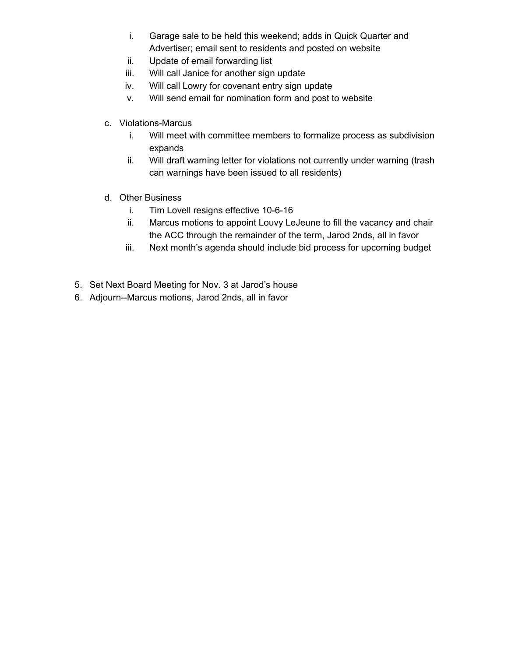- i. Garage sale to be held this weekend; adds in Quick Quarter and Advertiser; email sent to residents and posted on website
- ii. Update of email forwarding list
- iii. Will call Janice for another sign update
- iv. Will call Lowry for covenant entry sign update
- v. Will send email for nomination form and post to website
- c. Violations-Marcus
	- i. Will meet with committee members to formalize process as subdivision expands
	- ii. Will draft warning letter for violations not currently under warning (trash can warnings have been issued to all residents)
- d. Other Business
	- i. Tim Lovell resigns effective 10-6-16
	- ii. Marcus motions to appoint Louvy LeJeune to fill the vacancy and chair the ACC through the remainder of the term, Jarod 2nds, all in favor
	- iii. Next month's agenda should include bid process for upcoming budget
- 5. Set Next Board Meeting for Nov. 3 at Jarod's house
- 6. Adjourn--Marcus motions, Jarod 2nds, all in favor